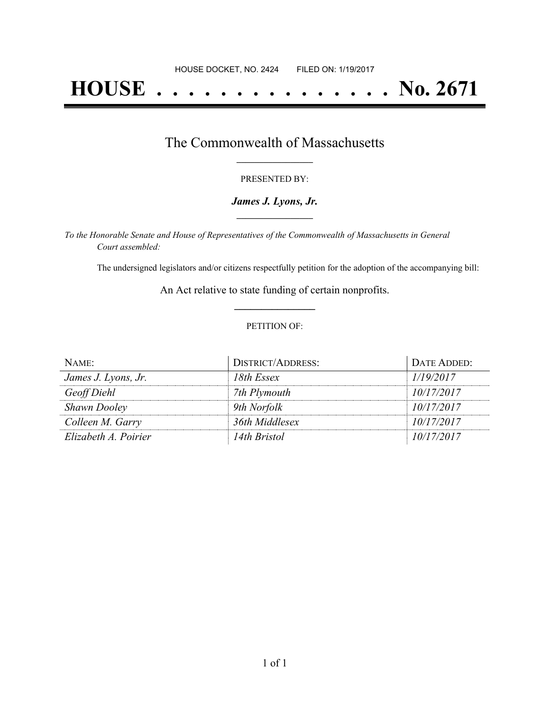# **HOUSE . . . . . . . . . . . . . . . No. 2671**

### The Commonwealth of Massachusetts **\_\_\_\_\_\_\_\_\_\_\_\_\_\_\_\_\_**

#### PRESENTED BY:

#### *James J. Lyons, Jr.* **\_\_\_\_\_\_\_\_\_\_\_\_\_\_\_\_\_**

*To the Honorable Senate and House of Representatives of the Commonwealth of Massachusetts in General Court assembled:*

The undersigned legislators and/or citizens respectfully petition for the adoption of the accompanying bill:

An Act relative to state funding of certain nonprofits. **\_\_\_\_\_\_\_\_\_\_\_\_\_\_\_**

#### PETITION OF:

| NAME:                | <b>DISTRICT/ADDRESS:</b> | DATE ADDED: |
|----------------------|--------------------------|-------------|
| James J. Lyons, Jr.  | 18th Essex               | 1/19/2017   |
| Geoff Diehl          | 7th Plymouth             | 10/17/2017  |
| <b>Shawn Dooley</b>  | 9th Norfolk              | 10/17/2017  |
| Colleen M. Garry     | 36th Middlesex           | 10/17/2017  |
| Elizabeth A. Poirier | 14th Bristol             | 10/17/2017  |